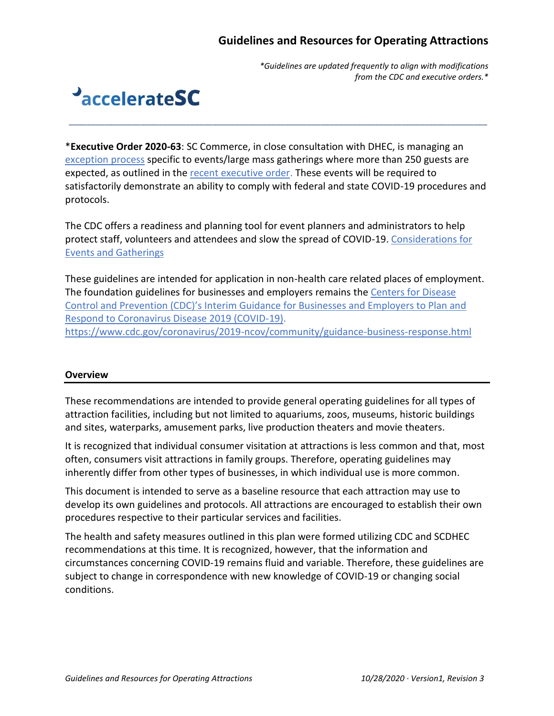*\*Guidelines are updated frequently to align with modifications from the CDC and executive orders.\**

# **PaccelerateSC**

\***Executive Order 2020-63**: SC Commerce, in close consultation with DHEC, is managing an [exception process](https://forms.office.com/Pages/ResponsePage.aspx?id=I3qmkwoj10y7xT_-eDSi6nZSnoSQyrdKt9wqRuJLZABUNTQ0MFVBQTk5SVBUWjZNSlNITDJNREI1Mi4u) specific to events/large mass gatherings where more than 250 guests are expected, as outlined in the [recent executive order.](https://governor.sc.gov/sites/default/files/Documents/Executive-Orders/2020-10-02%20FILED%20Executive%20Order%20No.%202020-63%20-%20Amending%20%26%20Consolidating%20Emergency%20Measures.pdf) These events will be required to satisfactorily demonstrate an ability to comply with federal and state COVID-19 procedures and protocols.

*\_\_\_\_\_\_\_\_\_\_\_\_\_\_\_\_\_\_\_\_\_\_\_\_\_\_\_\_\_\_\_\_\_\_\_\_\_\_\_\_\_\_\_\_\_\_\_\_\_\_\_\_\_\_\_\_\_\_\_\_\_\_\_\_\_\_\_\_\_\_\_\_\_\_\_\_\_\_\_\_\_\_\_\_\_\_\_\_\_\_\_\_\_*

The CDC offers a readiness and planning tool for event planners and administrators to help protect staff, volunteers and attendees and slow the spread of COVID-19. [Considerations for](https://www.cdc.gov/coronavirus/2019-ncov/downloads/community/COVID19-events-gatherings-readiness-and-planning-tool.pdf)  [Events and Gatherings](https://www.cdc.gov/coronavirus/2019-ncov/downloads/community/COVID19-events-gatherings-readiness-and-planning-tool.pdf)

These guidelines are intended for application in non-health care related places of employment. The foundation guidelines for businesses and employers remains th[e Centers for Disease](https://www.cdc.gov/coronavirus/2019-ncov/community/guidance-business-response.html)  [Control and Prevention \(CDC\)'s Interim Guidance for Businesses and Employers to Plan and](https://www.cdc.gov/coronavirus/2019-ncov/community/guidance-business-response.html)  [Respond to Coronavirus Disease 2019 \(COVID-19\).](https://www.cdc.gov/coronavirus/2019-ncov/community/guidance-business-response.html) <https://www.cdc.gov/coronavirus/2019-ncov/community/guidance-business-response.html>

### **Overview**

These recommendations are intended to provide general operating guidelines for all types of attraction facilities, including but not limited to aquariums, zoos, museums, historic buildings and sites, waterparks, amusement parks, live production theaters and movie theaters.

It is recognized that individual consumer visitation at attractions is less common and that, most often, consumers visit attractions in family groups. Therefore, operating guidelines may inherently differ from other types of businesses, in which individual use is more common.

This document is intended to serve as a baseline resource that each attraction may use to develop its own guidelines and protocols. All attractions are encouraged to establish their own procedures respective to their particular services and facilities.

The health and safety measures outlined in this plan were formed utilizing CDC and SCDHEC recommendations at this time. It is recognized, however, that the information and circumstances concerning COVID-19 remains fluid and variable. Therefore, these guidelines are subject to change in correspondence with new knowledge of COVID-19 or changing social conditions.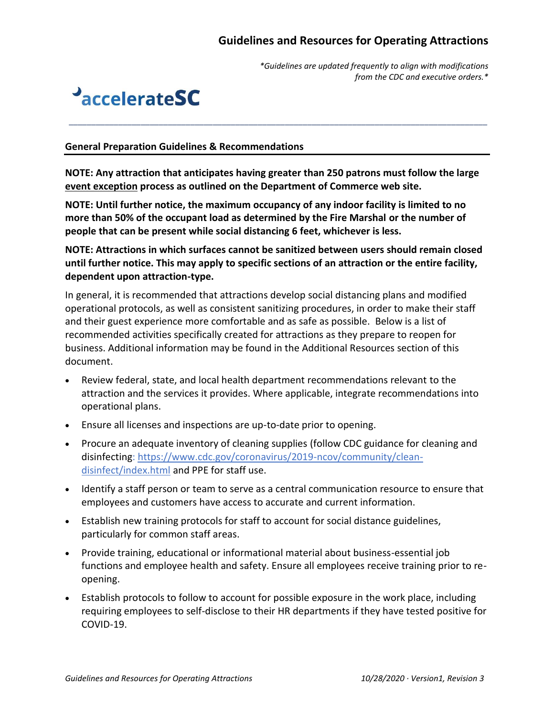*\*Guidelines are updated frequently to align with modifications from the CDC and executive orders.\**



#### **General Preparation Guidelines & Recommendations**

**NOTE: Any attraction that anticipates having greater than 250 patrons must follow the large [event exception](https://www.sccommerce.com/approval-now-required-250-person-events) process as outlined on the Department of Commerce web site.**

*\_\_\_\_\_\_\_\_\_\_\_\_\_\_\_\_\_\_\_\_\_\_\_\_\_\_\_\_\_\_\_\_\_\_\_\_\_\_\_\_\_\_\_\_\_\_\_\_\_\_\_\_\_\_\_\_\_\_\_\_\_\_\_\_\_\_\_\_\_\_\_\_\_\_\_\_\_\_\_\_\_\_\_\_\_\_\_\_\_\_\_\_\_*

**NOTE: Until further notice, the maximum occupancy of any indoor facility is limited to no more than 50% of the occupant load as determined by the Fire Marshal or the number of people that can be present while social distancing 6 feet, whichever is less.**

**NOTE: Attractions in which surfaces cannot be sanitized between users should remain closed until further notice. This may apply to specific sections of an attraction or the entire facility, dependent upon attraction-type.** 

In general, it is recommended that attractions develop social distancing plans and modified operational protocols, as well as consistent sanitizing procedures, in order to make their staff and their guest experience more comfortable and as safe as possible. Below is a list of recommended activities specifically created for attractions as they prepare to reopen for business. Additional information may be found in the Additional Resources section of this document.

- Review federal, state, and local health department recommendations relevant to the attraction and the services it provides. Where applicable, integrate recommendations into operational plans.
- Ensure all licenses and inspections are up-to-date prior to opening.
- Procure an adequate inventory of cleaning supplies (follow CDC guidance for cleaning and disinfecting: [https://www.cdc.gov/coronavirus/2019-ncov/community/clean](https://www.cdc.gov/coronavirus/2019-ncov/community/clean-disinfect/index.html)[disinfect/index.html](https://www.cdc.gov/coronavirus/2019-ncov/community/clean-disinfect/index.html) and PPE for staff use.
- Identify a staff person or team to serve as a central communication resource to ensure that employees and customers have access to accurate and current information.
- Establish new training protocols for staff to account for social distance guidelines, particularly for common staff areas.
- Provide training, educational or informational material about business-essential job functions and employee health and safety. Ensure all employees receive training prior to reopening.
- Establish protocols to follow to account for possible exposure in the work place, including requiring employees to self-disclose to their HR departments if they have tested positive for COVID-19.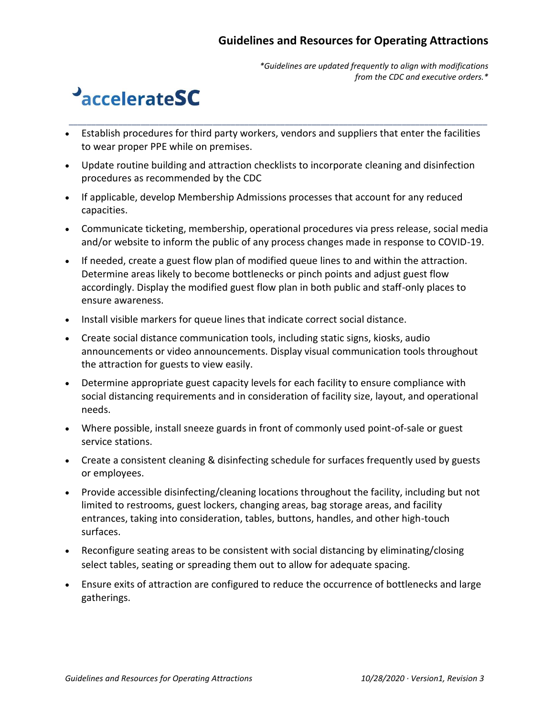*\*Guidelines are updated frequently to align with modifications from the CDC and executive orders.\**

## **PaccelerateSC**

• Establish procedures for third party workers, vendors and suppliers that enter the facilities to wear proper PPE while on premises.

*\_\_\_\_\_\_\_\_\_\_\_\_\_\_\_\_\_\_\_\_\_\_\_\_\_\_\_\_\_\_\_\_\_\_\_\_\_\_\_\_\_\_\_\_\_\_\_\_\_\_\_\_\_\_\_\_\_\_\_\_\_\_\_\_\_\_\_\_\_\_\_\_\_\_\_\_\_\_\_\_\_\_\_\_\_\_\_\_\_\_\_\_\_*

- Update routine building and attraction checklists to incorporate cleaning and disinfection procedures as recommended by the CDC
- If applicable, develop Membership Admissions processes that account for any reduced capacities.
- Communicate ticketing, membership, operational procedures via press release, social media and/or website to inform the public of any process changes made in response to COVID-19.
- If needed, create a guest flow plan of modified queue lines to and within the attraction. Determine areas likely to become bottlenecks or pinch points and adjust guest flow accordingly. Display the modified guest flow plan in both public and staff-only places to ensure awareness.
- Install visible markers for queue lines that indicate correct social distance.
- Create social distance communication tools, including static signs, kiosks, audio announcements or video announcements. Display visual communication tools throughout the attraction for guests to view easily.
- Determine appropriate guest capacity levels for each facility to ensure compliance with social distancing requirements and in consideration of facility size, layout, and operational needs.
- Where possible, install sneeze guards in front of commonly used point-of-sale or guest service stations.
- Create a consistent cleaning & disinfecting schedule for surfaces frequently used by guests or employees.
- Provide accessible disinfecting/cleaning locations throughout the facility, including but not limited to restrooms, guest lockers, changing areas, bag storage areas, and facility entrances, taking into consideration, tables, buttons, handles, and other high-touch surfaces.
- Reconfigure seating areas to be consistent with social distancing by eliminating/closing select tables, seating or spreading them out to allow for adequate spacing.
- Ensure exits of attraction are configured to reduce the occurrence of bottlenecks and large gatherings.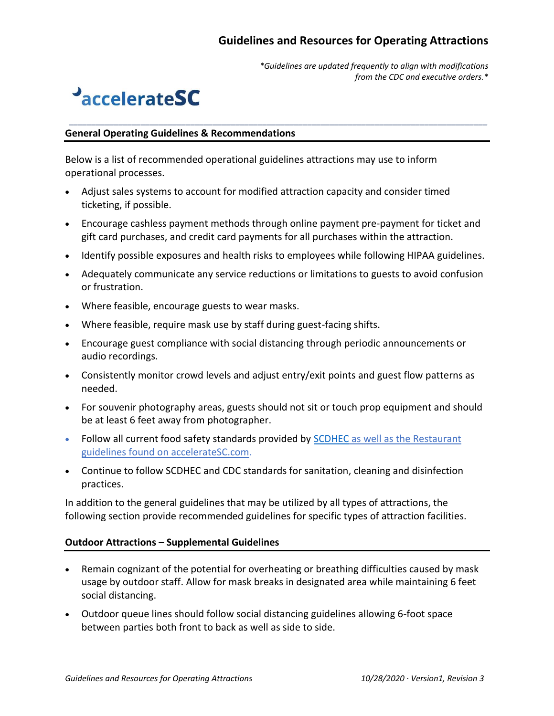*\*Guidelines are updated frequently to align with modifications from the CDC and executive orders.\**

## **PaccelerateSC**

#### **General Operating Guidelines & Recommendations**

Below is a list of recommended operational guidelines attractions may use to inform operational processes.

- Adjust sales systems to account for modified attraction capacity and consider timed ticketing, if possible.
- Encourage cashless payment methods through online payment pre-payment for ticket and gift card purchases, and credit card payments for all purchases within the attraction.

*\_\_\_\_\_\_\_\_\_\_\_\_\_\_\_\_\_\_\_\_\_\_\_\_\_\_\_\_\_\_\_\_\_\_\_\_\_\_\_\_\_\_\_\_\_\_\_\_\_\_\_\_\_\_\_\_\_\_\_\_\_\_\_\_\_\_\_\_\_\_\_\_\_\_\_\_\_\_\_\_\_\_\_\_\_\_\_\_\_\_\_\_\_*

- Identify possible exposures and health risks to employees while following HIPAA guidelines.
- Adequately communicate any service reductions or limitations to guests to avoid confusion or frustration.
- Where feasible, encourage guests to wear masks.
- Where feasible, require mask use by staff during guest-facing shifts.
- Encourage guest compliance with social distancing through periodic announcements or audio recordings.
- Consistently monitor crowd levels and adjust entry/exit points and guest flow patterns as needed.
- For souvenir photography areas, guests should not sit or touch prop equipment and should be at least 6 feet away from photographer.
- Follow all current food safety standards provided by [SCDHEC](https://accelerate.sc.gov/restaurants) as well as the Restaurant guidelines found on accelerateSC.com.
- Continue to follow SCDHEC and CDC standards for sanitation, cleaning and disinfection practices.

In addition to the general guidelines that may be utilized by all types of attractions, the following section provide recommended guidelines for specific types of attraction facilities.

### **Outdoor Attractions – Supplemental Guidelines**

- Remain cognizant of the potential for overheating or breathing difficulties caused by mask usage by outdoor staff. Allow for mask breaks in designated area while maintaining 6 feet social distancing.
- Outdoor queue lines should follow social distancing guidelines allowing 6-foot space between parties both front to back as well as side to side.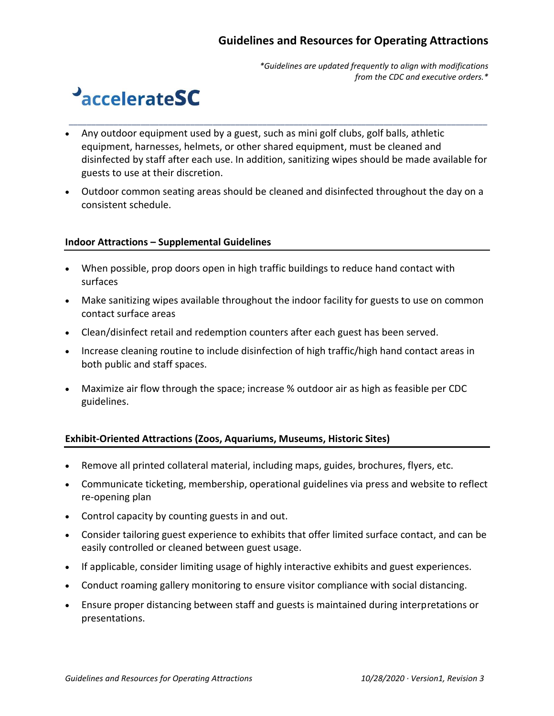*\*Guidelines are updated frequently to align with modifications from the CDC and executive orders.\**

## **PaccelerateSC**

• Any outdoor equipment used by a guest, such as mini golf clubs, golf balls, athletic equipment, harnesses, helmets, or other shared equipment, must be cleaned and disinfected by staff after each use. In addition, sanitizing wipes should be made available for guests to use at their discretion.

*\_\_\_\_\_\_\_\_\_\_\_\_\_\_\_\_\_\_\_\_\_\_\_\_\_\_\_\_\_\_\_\_\_\_\_\_\_\_\_\_\_\_\_\_\_\_\_\_\_\_\_\_\_\_\_\_\_\_\_\_\_\_\_\_\_\_\_\_\_\_\_\_\_\_\_\_\_\_\_\_\_\_\_\_\_\_\_\_\_\_\_\_\_*

• Outdoor common seating areas should be cleaned and disinfected throughout the day on a consistent schedule.

### **Indoor Attractions – Supplemental Guidelines**

- When possible, prop doors open in high traffic buildings to reduce hand contact with surfaces
- Make sanitizing wipes available throughout the indoor facility for guests to use on common contact surface areas
- Clean/disinfect retail and redemption counters after each guest has been served.
- Increase cleaning routine to include disinfection of high traffic/high hand contact areas in both public and staff spaces.
- Maximize air flow through the space; increase % outdoor air as high as feasible per CDC guidelines.

### **Exhibit-Oriented Attractions (Zoos, Aquariums, Museums, Historic Sites)**

- Remove all printed collateral material, including maps, guides, brochures, flyers, etc.
- Communicate ticketing, membership, operational guidelines via press and website to reflect re-opening plan
- Control capacity by counting guests in and out.
- Consider tailoring guest experience to exhibits that offer limited surface contact, and can be easily controlled or cleaned between guest usage.
- If applicable, consider limiting usage of highly interactive exhibits and guest experiences.
- Conduct roaming gallery monitoring to ensure visitor compliance with social distancing.
- Ensure proper distancing between staff and guests is maintained during interpretations or presentations.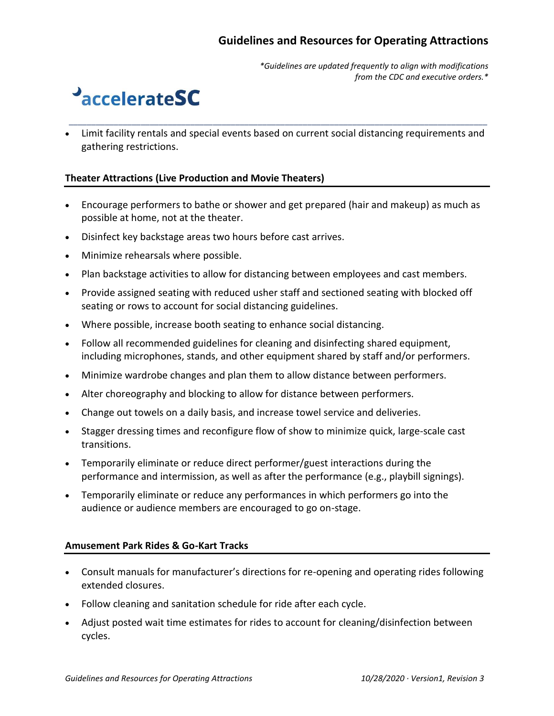*\*Guidelines are updated frequently to align with modifications from the CDC and executive orders.\**

## **PaccelerateSC**

• Limit facility rentals and special events based on current social distancing requirements and gathering restrictions.

*\_\_\_\_\_\_\_\_\_\_\_\_\_\_\_\_\_\_\_\_\_\_\_\_\_\_\_\_\_\_\_\_\_\_\_\_\_\_\_\_\_\_\_\_\_\_\_\_\_\_\_\_\_\_\_\_\_\_\_\_\_\_\_\_\_\_\_\_\_\_\_\_\_\_\_\_\_\_\_\_\_\_\_\_\_\_\_\_\_\_\_\_\_*

#### **Theater Attractions (Live Production and Movie Theaters)**

- Encourage performers to bathe or shower and get prepared (hair and makeup) as much as possible at home, not at the theater.
- Disinfect key backstage areas two hours before cast arrives.
- Minimize rehearsals where possible.
- Plan backstage activities to allow for distancing between employees and cast members.
- Provide assigned seating with reduced usher staff and sectioned seating with blocked off seating or rows to account for social distancing guidelines.
- Where possible, increase booth seating to enhance social distancing.
- Follow all recommended guidelines for cleaning and disinfecting shared equipment, including microphones, stands, and other equipment shared by staff and/or performers.
- Minimize wardrobe changes and plan them to allow distance between performers.
- Alter choreography and blocking to allow for distance between performers.
- Change out towels on a daily basis, and increase towel service and deliveries.
- Stagger dressing times and reconfigure flow of show to minimize quick, large-scale cast transitions.
- Temporarily eliminate or reduce direct performer/guest interactions during the performance and intermission, as well as after the performance (e.g., playbill signings).
- Temporarily eliminate or reduce any performances in which performers go into the audience or audience members are encouraged to go on-stage.

#### **Amusement Park Rides & Go-Kart Tracks**

- Consult manuals for manufacturer's directions for re-opening and operating rides following extended closures.
- Follow cleaning and sanitation schedule for ride after each cycle.
- Adjust posted wait time estimates for rides to account for cleaning/disinfection between cycles.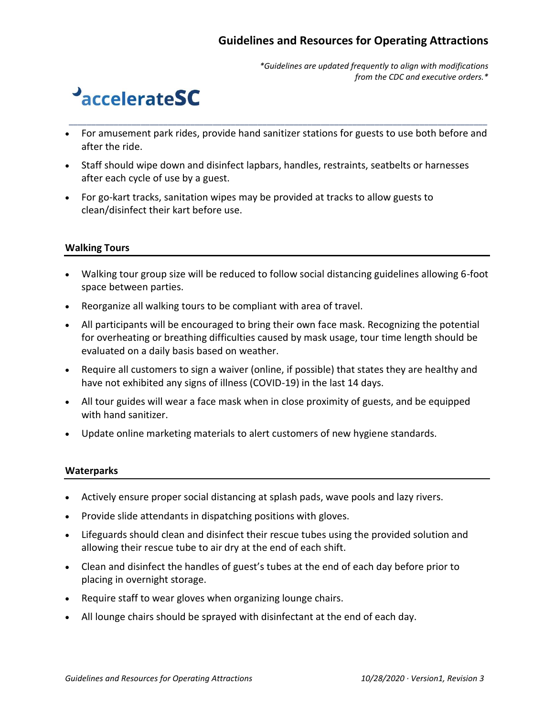*\*Guidelines are updated frequently to align with modifications from the CDC and executive orders.\**

## **PaccelerateSC**

• For amusement park rides, provide hand sanitizer stations for guests to use both before and after the ride.

*\_\_\_\_\_\_\_\_\_\_\_\_\_\_\_\_\_\_\_\_\_\_\_\_\_\_\_\_\_\_\_\_\_\_\_\_\_\_\_\_\_\_\_\_\_\_\_\_\_\_\_\_\_\_\_\_\_\_\_\_\_\_\_\_\_\_\_\_\_\_\_\_\_\_\_\_\_\_\_\_\_\_\_\_\_\_\_\_\_\_\_\_\_*

- Staff should wipe down and disinfect lapbars, handles, restraints, seatbelts or harnesses after each cycle of use by a guest.
- For go-kart tracks, sanitation wipes may be provided at tracks to allow guests to clean/disinfect their kart before use.

### **Walking Tours**

- Walking tour group size will be reduced to follow social distancing guidelines allowing 6-foot space between parties.
- Reorganize all walking tours to be compliant with area of travel.
- All participants will be encouraged to bring their own face mask. Recognizing the potential for overheating or breathing difficulties caused by mask usage, tour time length should be evaluated on a daily basis based on weather.
- Require all customers to sign a waiver (online, if possible) that states they are healthy and have not exhibited any signs of illness (COVID-19) in the last 14 days.
- All tour guides will wear a face mask when in close proximity of guests, and be equipped with hand sanitizer.
- Update online marketing materials to alert customers of new hygiene standards.

### **Waterparks**

- Actively ensure proper social distancing at splash pads, wave pools and lazy rivers.
- Provide slide attendants in dispatching positions with gloves.
- Lifeguards should clean and disinfect their rescue tubes using the provided solution and allowing their rescue tube to air dry at the end of each shift.
- Clean and disinfect the handles of guest's tubes at the end of each day before prior to placing in overnight storage.
- Require staff to wear gloves when organizing lounge chairs.
- All lounge chairs should be sprayed with disinfectant at the end of each day.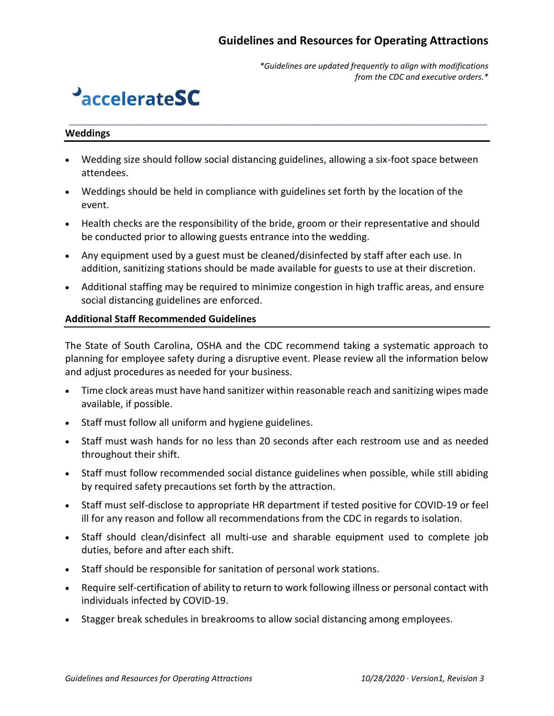*\*Guidelines are updated frequently to align with modifications from the CDC and executive orders.\**

## **PaccelerateSC**

#### **Weddings**

• Wedding size should follow social distancing guidelines, allowing a six-foot space between attendees.

*\_\_\_\_\_\_\_\_\_\_\_\_\_\_\_\_\_\_\_\_\_\_\_\_\_\_\_\_\_\_\_\_\_\_\_\_\_\_\_\_\_\_\_\_\_\_\_\_\_\_\_\_\_\_\_\_\_\_\_\_\_\_\_\_\_\_\_\_\_\_\_\_\_\_\_\_\_\_\_\_\_\_\_\_\_\_\_\_\_\_\_\_\_*

- Weddings should be held in compliance with guidelines set forth by the location of the event.
- Health checks are the responsibility of the bride, groom or their representative and should be conducted prior to allowing guests entrance into the wedding.
- Any equipment used by a guest must be cleaned/disinfected by staff after each use. In addition, sanitizing stations should be made available for guests to use at their discretion.
- Additional staffing may be required to minimize congestion in high traffic areas, and ensure social distancing guidelines are enforced.

#### **Additional Staff Recommended Guidelines**

The State of South Carolina, OSHA and the CDC recommend taking a systematic approach to planning for employee safety during a disruptive event. Please review all the information below and adjust procedures as needed for your business.

- Time clock areas must have hand sanitizer within reasonable reach and sanitizing wipes made available, if possible.
- Staff must follow all uniform and hygiene guidelines.
- Staff must wash hands for no less than 20 seconds after each restroom use and as needed throughout their shift.
- Staff must follow recommended social distance guidelines when possible, while still abiding by required safety precautions set forth by the attraction.
- Staff must self-disclose to appropriate HR department if tested positive for COVID-19 or feel ill for any reason and follow all recommendations from the CDC in regards to isolation.
- Staff should clean/disinfect all multi-use and sharable equipment used to complete job duties, before and after each shift.
- Staff should be responsible for sanitation of personal work stations.
- Require self-certification of ability to return to work following illness or personal contact with individuals infected by COVID-19.
- Stagger break schedules in breakrooms to allow social distancing among employees.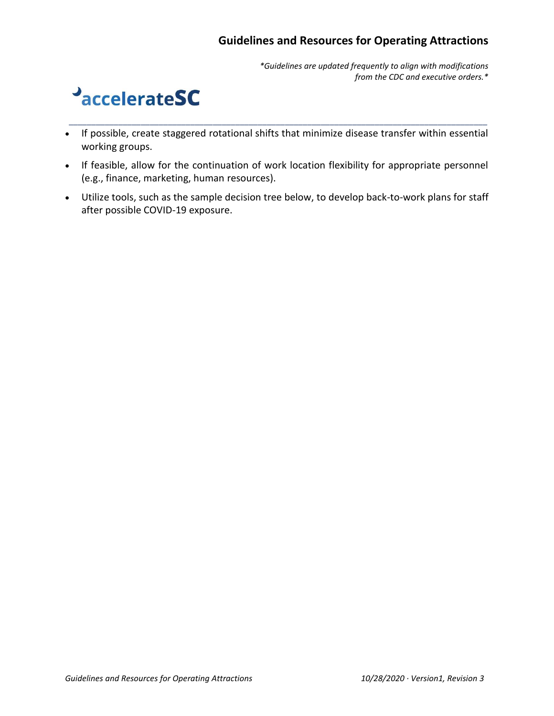*\*Guidelines are updated frequently to align with modifications from the CDC and executive orders.\**

## **PaccelerateSC**

• If possible, create staggered rotational shifts that minimize disease transfer within essential working groups.

*\_\_\_\_\_\_\_\_\_\_\_\_\_\_\_\_\_\_\_\_\_\_\_\_\_\_\_\_\_\_\_\_\_\_\_\_\_\_\_\_\_\_\_\_\_\_\_\_\_\_\_\_\_\_\_\_\_\_\_\_\_\_\_\_\_\_\_\_\_\_\_\_\_\_\_\_\_\_\_\_\_\_\_\_\_\_\_\_\_\_\_\_\_*

- If feasible, allow for the continuation of work location flexibility for appropriate personnel (e.g., finance, marketing, human resources).
- Utilize tools, such as the sample decision tree below, to develop back-to-work plans for staff after possible COVID-19 exposure.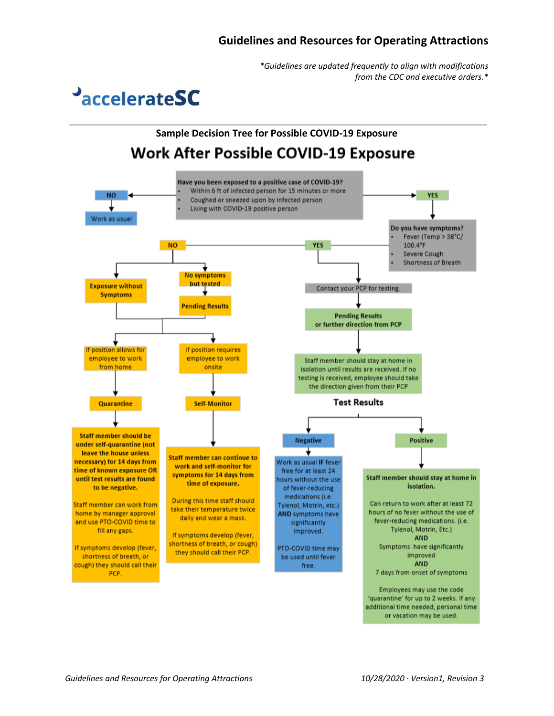*\*Guidelines are updated frequently to align with modifications from the CDC and executive orders.\**

**PaccelerateSC** 

## **Sample Decision Tree for Possible COVID-19 ExposureWork After Possible COVID-19 Exposure**

*\_\_\_\_\_\_\_\_\_\_\_\_\_\_\_\_\_\_\_\_\_\_\_\_\_\_\_\_\_\_\_\_\_\_\_\_\_\_\_\_\_\_\_\_\_\_\_\_\_\_\_\_\_\_\_\_\_\_\_\_\_\_\_\_\_\_\_\_\_\_\_\_\_\_\_\_\_\_\_\_\_\_\_\_\_\_\_\_\_\_\_\_\_*

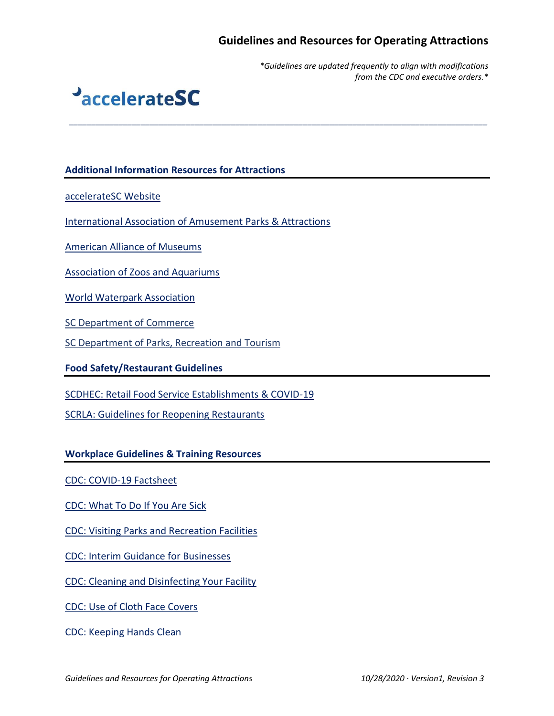*\_\_\_\_\_\_\_\_\_\_\_\_\_\_\_\_\_\_\_\_\_\_\_\_\_\_\_\_\_\_\_\_\_\_\_\_\_\_\_\_\_\_\_\_\_\_\_\_\_\_\_\_\_\_\_\_\_\_\_\_\_\_\_\_\_\_\_\_\_\_\_\_\_\_\_\_\_\_\_\_\_\_\_\_\_\_\_\_\_\_\_\_\_*

*\*Guidelines are updated frequently to align with modifications from the CDC and executive orders.\**



#### **Additional Information Resources for Attractions**

[accelerateSC Website](https://accelerate.sc.gov/)

[International Association of Amusement Parks & Attractions](https://www.iaapa.org/news/covid-19-resource-page)

[American Alliance of Museums](https://www.aam-us.org/2020/04/29/how-to-get-ready-to-open-the-doors/)

[Association of Zoos and Aquariums](https://www.aza.org/covid-19-resources)

[World Waterpark Association](https://www.waterparks.org/web/Resources/COVID-19/web/Tagged_Content/Hot_Topics/Coronavirus.aspx?hkey=058be8d3-21ea-4ff9-9a9d-720d6a5b1d4d)

[SC Department of Commerce](https://www.scprt.com/) 

[SC Department of Parks, Recreation](https://www.scprt.com/) and Tourism

**Food Safety/Restaurant Guidelines**

[SCDHEC: Retail Food Service Establishments & COVID-19](https://www.scdhec.gov/infectious-diseases/viruses/coronavirus-disease-2019-covid-19/retail-food-service-establishments-covid-19)

[SCRLA: Guidelines for Reopening Restaurants](https://accelerate.sc.gov/sites/default/files/Documents/SC%20Restaurant%20Guidelines%2010.2.20.pdf)

**Workplace Guidelines & Training Resources**

[CDC: COVID-19 Factsheet](https://www.cdc.gov/coronavirus/2019-ncov/downloads/2019-ncov-factsheet.pdf)

[CDC: What To Do If You Are Sick](https://www.cdc.gov/coronavirus/2019-ncov/if-you-are-sick/steps-when-sick.html)

[CDC: Visiting Parks and Recreation Facilities](https://www.cdc.gov/coronavirus/2019-ncov/daily-life-coping/visitors.html)

[CDC: Interim Guidance for Businesses](https://www.cdc.gov/coronavirus/2019-ncov/community/guidance-business-response.html)

[CDC: Cleaning and Disinfecting Your Facility](https://www.cdc.gov/coronavirus/2019-ncov/community/disinfecting-building-facility.html)

[CDC: Use of Cloth Face Covers](https://www.cdc.gov/coronavirus/2019-ncov/prevent-getting-sick/diy-cloth-face-coverings.html)

[CDC: Keeping Hands Clean](https://www.cdc.gov/healthywater/hygiene/hand/handwashing.html)